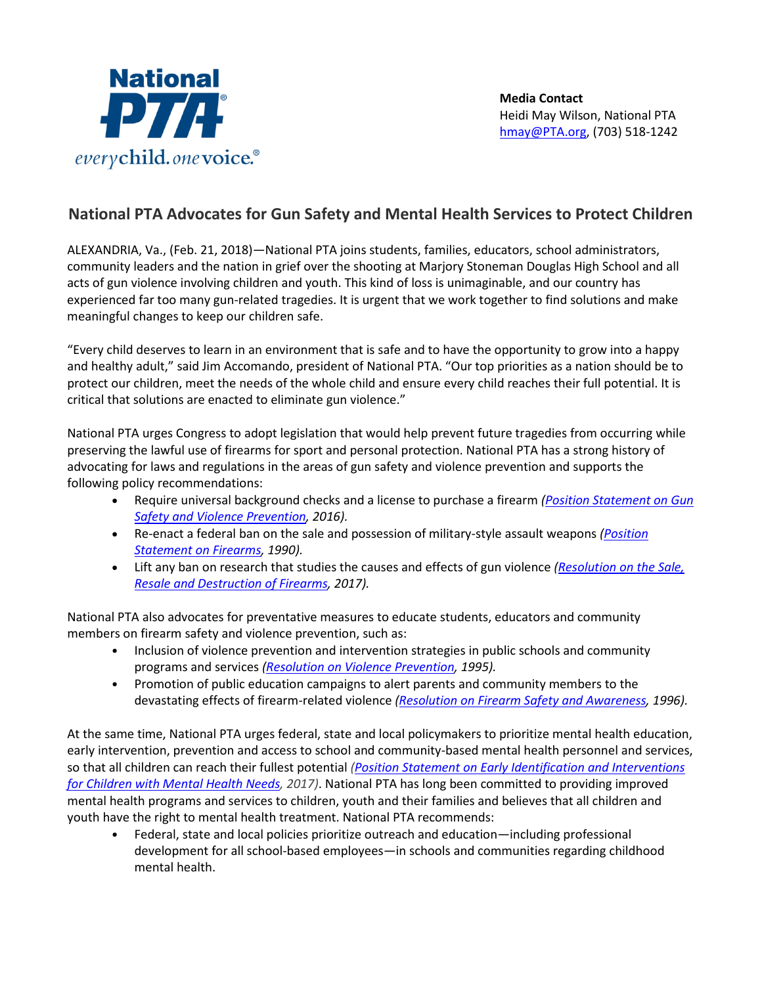

## **National PTA Advocates for Gun Safety and Mental Health Services to Protect Children**

ALEXANDRIA, Va., (Feb. 21, 2018)—National PTA joins students, families, educators, school administrators, community leaders and the nation in grief over the shooting at Marjory Stoneman Douglas High School and all acts of gun violence involving children and youth. This kind of loss is unimaginable, and our country has experienced far too many gun-related tragedies. It is urgent that we work together to find solutions and make meaningful changes to keep our children safe.

"Every child deserves to learn in an environment that is safe and to have the opportunity to grow into a happy and healthy adult," said Jim Accomando, president of National PTA. "Our top priorities as a nation should be to protect our children, meet the needs of the whole child and ensure every child reaches their full potential. It is critical that solutions are enacted to eliminate gun violence."

National PTA urges Congress to adopt legislation that would help prevent future tragedies from occurring while preserving the lawful use of firearms for sport and personal protection. National PTA has a strong history of advocating for laws and regulations in the areas of gun safety and violence prevention and supports the following policy recommendations:

- Require universal background checks and a license to purchase a firearm *[\(Position Statement on Gun](https://www.pta.org/home/advocacy/pta)  Safety [and Violence Prevention,](https://www.pta.org/home/advocacy/pta) 2016).*
- Re-enact a federal ban on the sale and possession of military-style assault weapons *[\(Position](https://www.pta.org/home/advocacy/pta)  [Statement on Firearms,](https://www.pta.org/home/advocacy/pta) 1990).*
- Lift any ban on research that studies the causes and effects of gun violence *[\(Resolution on the Sale,](https://www.pta.org/home/advocacy/pta)  [Resale and Destruction of Firearms,](https://www.pta.org/home/advocacy/pta) 2017).*

National PTA also advocates for preventative measures to educate students, educators and community members on firearm safety and violence prevention, such as:

- Inclusion of violence prevention and intervention strategies in public schools and community programs and services *[\(Resolution on Violence Prevention,](https://www.pta.org/home/advocacy/pta) 1995).*
- Promotion of public education campaigns to alert parents and community members to the devastating effects of firearm-related violence *[\(Resolution on Firearm Safety and Awareness,](https://www.pta.org/home/advocacy/pta) 1996).*

At the same time, National PTA urges federal, state and local policymakers to prioritize mental health education, early intervention, prevention and access to school and community-based mental health personnel and services, so that all children can reach their fullest potential *[\(Position Statement on Early Identification and Interventions](https://www.pta.org/home/advocacy/pta)  [for Children with Mental Health Needs,](https://www.pta.org/home/advocacy/pta) 2017)*. National PTA has long been committed to providing improved mental health programs and services to children, youth and their families and believes that all children and youth have the right to mental health treatment. National PTA recommends:

• Federal, state and local policies prioritize outreach and education—including professional development for all school-based employees—in schools and communities regarding childhood mental health.